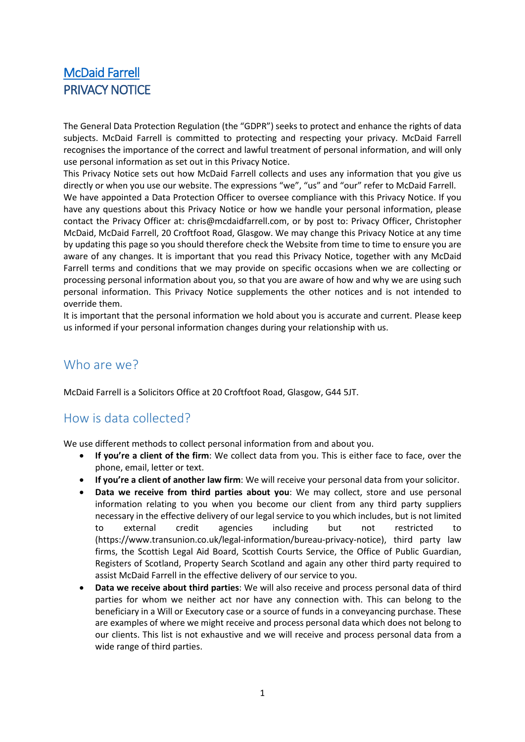# [McDaid Farrell](http://mcdaidfarrell.com/index.html)  PRIVACY NOTICE

The General Data Protection Regulation (the "GDPR") seeks to protect and enhance the rights of data subjects. McDaid Farrell is committed to protecting and respecting your privacy. McDaid Farrell recognises the importance of the correct and lawful treatment of personal information, and will only use personal information as set out in this Privacy Notice.

This Privacy Notice sets out how McDaid Farrell collects and uses any information that you give us directly or when you use our website. The expressions "we", "us" and "our" refer to McDaid Farrell. We have appointed a Data Protection Officer to oversee compliance with this Privacy Notice. If you have any questions about this Privacy Notice or how we handle your personal information, please contact the Privacy Officer at: chris@mcdaidfarrell.com, or by post to: Privacy Officer, Christopher McDaid, McDaid Farrell, 20 Croftfoot Road, Glasgow. We may change this Privacy Notice at any time by updating this page so you should therefore check the Website from time to time to ensure you are aware of any changes. It is important that you read this Privacy Notice, together with any McDaid Farrell terms and conditions that we may provide on specific occasions when we are collecting or processing personal information about you, so that you are aware of how and why we are using such personal information. This Privacy Notice supplements the other notices and is not intended to override them.

It is important that the personal information we hold about you is accurate and current. Please keep us informed if your personal information changes during your relationship with us.

## Who are we?

McDaid Farrell is a Solicitors Office at 20 Croftfoot Road, Glasgow, G44 5JT.

# How is data collected?

We use different methods to collect personal information from and about you.

- **If you're a client of the firm**: We collect data from you. This is either face to face, over the phone, email, letter or text.
- **If you're a client of another law firm**: We will receive your personal data from your solicitor.
- **Data we receive from third parties about you**: We may collect, store and use personal information relating to you when you become our client from any third party suppliers necessary in the effective delivery of our legal service to you which includes, but is not limited to external credit agencies including but not restricted to (https://www.transunion.co.uk/legal-information/bureau-privacy-notice), third party law firms, the Scottish Legal Aid Board, Scottish Courts Service, the Office of Public Guardian, Registers of Scotland, Property Search Scotland and again any other third party required to assist McDaid Farrell in the effective delivery of our service to you.
- **Data we receive about third parties**: We will also receive and process personal data of third parties for whom we neither act nor have any connection with. This can belong to the beneficiary in a Will or Executory case or a source of funds in a conveyancing purchase. These are examples of where we might receive and process personal data which does not belong to our clients. This list is not exhaustive and we will receive and process personal data from a wide range of third parties.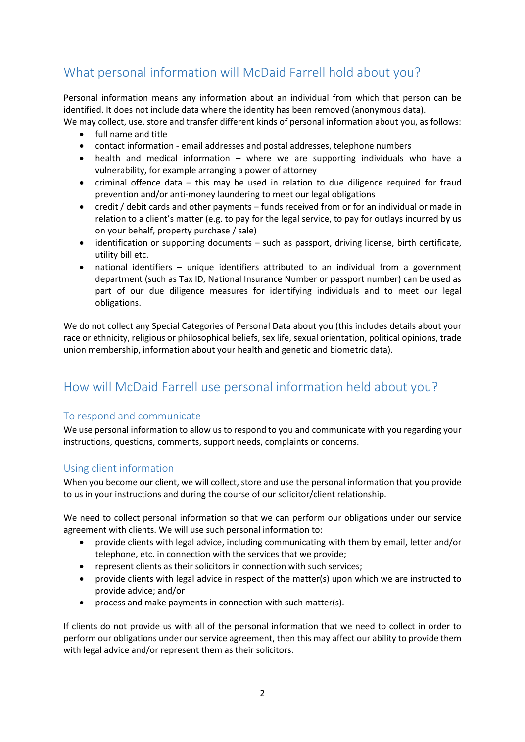# What personal information will McDaid Farrell hold about you?

Personal information means any information about an individual from which that person can be identified. It does not include data where the identity has been removed (anonymous data).

- We may collect, use, store and transfer different kinds of personal information about you, as follows:
	- full name and title
	- contact information email addresses and postal addresses, telephone numbers
	- health and medical information where we are supporting individuals who have a vulnerability, for example arranging a power of attorney
	- criminal offence data this may be used in relation to due diligence required for fraud prevention and/or anti-money laundering to meet our legal obligations
	- credit / debit cards and other payments funds received from or for an individual or made in relation to a client's matter (e.g. to pay for the legal service, to pay for outlays incurred by us on your behalf, property purchase / sale)
	- identification or supporting documents such as passport, driving license, birth certificate, utility bill etc.
	- national identifiers unique identifiers attributed to an individual from a government department (such as Tax ID, National Insurance Number or passport number) can be used as part of our due diligence measures for identifying individuals and to meet our legal obligations.

We do not collect any Special Categories of Personal Data about you (this includes details about your race or ethnicity, religious or philosophical beliefs, sex life, sexual orientation, political opinions, trade union membership, information about your health and genetic and biometric data).

# How will McDaid Farrell use personal information held about you?

## To respond and communicate

We use personal information to allow us to respond to you and communicate with you regarding your instructions, questions, comments, support needs, complaints or concerns.

## Using client information

When you become our client, we will collect, store and use the personal information that you provide to us in your instructions and during the course of our solicitor/client relationship.

We need to collect personal information so that we can perform our obligations under our service agreement with clients. We will use such personal information to:

- provide clients with legal advice, including communicating with them by email, letter and/or telephone, etc. in connection with the services that we provide;
- represent clients as their solicitors in connection with such services;
- provide clients with legal advice in respect of the matter(s) upon which we are instructed to provide advice; and/or
- process and make payments in connection with such matter(s).

If clients do not provide us with all of the personal information that we need to collect in order to perform our obligations under our service agreement, then this may affect our ability to provide them with legal advice and/or represent them as their solicitors.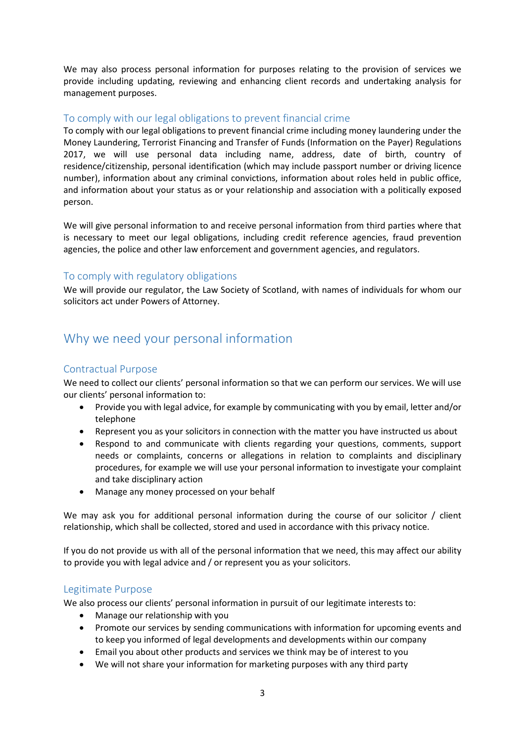We may also process personal information for purposes relating to the provision of services we provide including updating, reviewing and enhancing client records and undertaking analysis for management purposes.

### To comply with our legal obligations to prevent financial crime

To comply with our legal obligations to prevent financial crime including money laundering under the Money Laundering, Terrorist Financing and Transfer of Funds (Information on the Payer) Regulations 2017, we will use personal data including name, address, date of birth, country of residence/citizenship, personal identification (which may include passport number or driving licence number), information about any criminal convictions, information about roles held in public office, and information about your status as or your relationship and association with a politically exposed person.

We will give personal information to and receive personal information from third parties where that is necessary to meet our legal obligations, including credit reference agencies, fraud prevention agencies, the police and other law enforcement and government agencies, and regulators.

### To comply with regulatory obligations

We will provide our regulator, the Law Society of Scotland, with names of individuals for whom our solicitors act under Powers of Attorney.

# Why we need your personal information

### Contractual Purpose

We need to collect our clients' personal information so that we can perform our services. We will use our clients' personal information to:

- Provide you with legal advice, for example by communicating with you by email, letter and/or telephone
- Represent you as your solicitors in connection with the matter you have instructed us about
- Respond to and communicate with clients regarding your questions, comments, support needs or complaints, concerns or allegations in relation to complaints and disciplinary procedures, for example we will use your personal information to investigate your complaint and take disciplinary action
- Manage any money processed on your behalf

We may ask you for additional personal information during the course of our solicitor / client relationship, which shall be collected, stored and used in accordance with this privacy notice.

If you do not provide us with all of the personal information that we need, this may affect our ability to provide you with legal advice and / or represent you as your solicitors.

### Legitimate Purpose

We also process our clients' personal information in pursuit of our legitimate interests to:

- Manage our relationship with you
- Promote our services by sending communications with information for upcoming events and to keep you informed of legal developments and developments within our company
- Email you about other products and services we think may be of interest to you
- We will not share your information for marketing purposes with any third party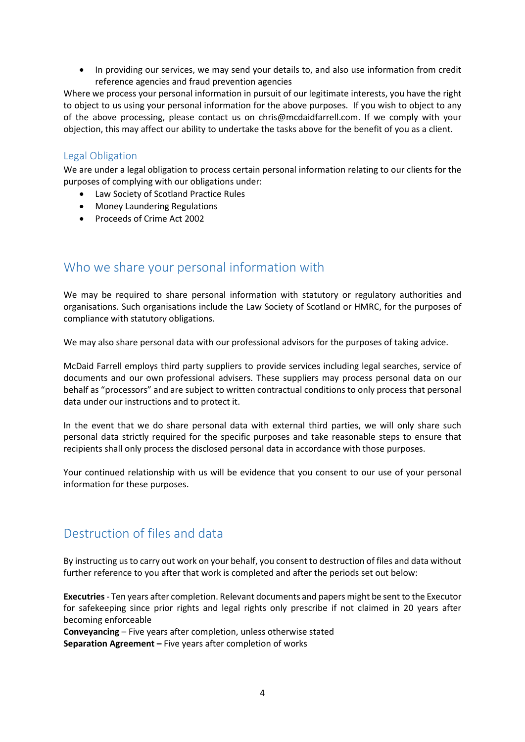• In providing our services, we may send your details to, and also use information from credit reference agencies and fraud prevention agencies

Where we process your personal information in pursuit of our legitimate interests, you have the right to object to us using your personal information for the above purposes. If you wish to object to any of the above processing, please contact us on chris@mcdaidfarrell.com. If we comply with your objection, this may affect our ability to undertake the tasks above for the benefit of you as a client.

### Legal Obligation

We are under a legal obligation to process certain personal information relating to our clients for the purposes of complying with our obligations under:

- Law Society of Scotland Practice Rules
- Money Laundering Regulations
- Proceeds of Crime Act 2002

# Who we share your personal information with

We may be required to share personal information with statutory or regulatory authorities and organisations. Such organisations include the Law Society of Scotland or HMRC, for the purposes of compliance with statutory obligations.

We may also share personal data with our professional advisors for the purposes of taking advice.

McDaid Farrell employs third party suppliers to provide services including legal searches, service of documents and our own professional advisers. These suppliers may process personal data on our behalf as "processors" and are subject to written contractual conditions to only process that personal data under our instructions and to protect it.

In the event that we do share personal data with external third parties, we will only share such personal data strictly required for the specific purposes and take reasonable steps to ensure that recipients shall only process the disclosed personal data in accordance with those purposes.

Your continued relationship with us will be evidence that you consent to our use of your personal information for these purposes.

# Destruction of files and data

By instructing us to carry out work on your behalf, you consent to destruction of files and data without further reference to you after that work is completed and after the periods set out below:

**Executries**- Ten years after completion. Relevant documents and papers might be sent to the Executor for safekeeping since prior rights and legal rights only prescribe if not claimed in 20 years after becoming enforceable

**Conveyancing** – Five years after completion, unless otherwise stated **Separation Agreement –** Five years after completion of works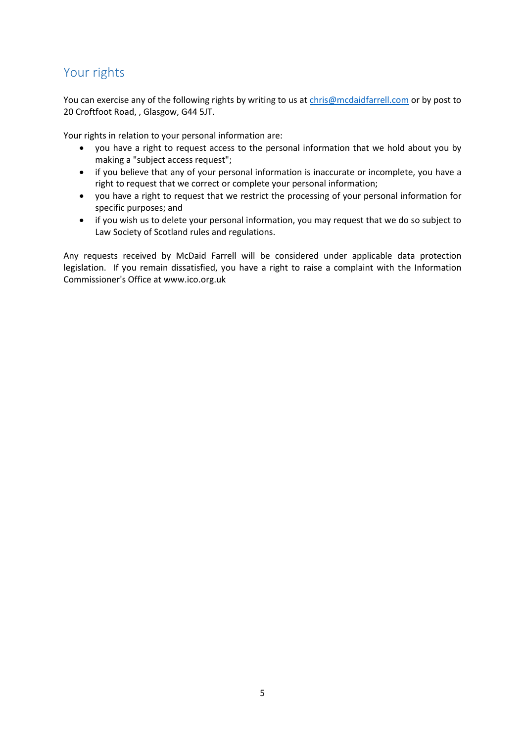# Your rights

You can exercise any of the following rights by writing to us at [chris@mcdaidfarrell.com](mailto:mudassar@hsmsolicitors.co.uk) or by post to 20 Croftfoot Road, , Glasgow, G44 5JT.

Your rights in relation to your personal information are:

- you have a right to request access to the personal information that we hold about you by making a "subject access request";
- if you believe that any of your personal information is inaccurate or incomplete, you have a right to request that we correct or complete your personal information;
- you have a right to request that we restrict the processing of your personal information for specific purposes; and
- if you wish us to delete your personal information, you may request that we do so subject to Law Society of Scotland rules and regulations.

Any requests received by McDaid Farrell will be considered under applicable data protection legislation. If you remain dissatisfied, you have a right to raise a complaint with the Information Commissioner's Office at www.ico.org.uk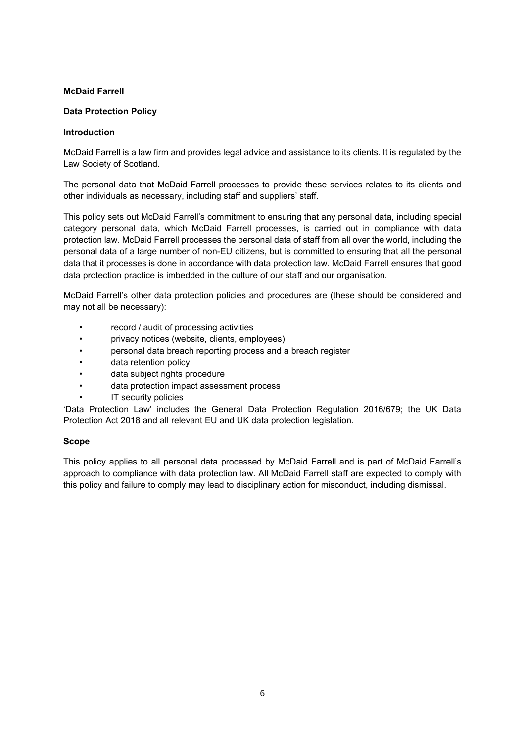#### **McDaid Farrell**

#### **Data Protection Policy**

#### **Introduction**

McDaid Farrell is a law firm and provides legal advice and assistance to its clients. It is regulated by the Law Society of Scotland.

The personal data that McDaid Farrell processes to provide these services relates to its clients and other individuals as necessary, including staff and suppliers' staff.

This policy sets out McDaid Farrell's commitment to ensuring that any personal data, including special category personal data, which McDaid Farrell processes, is carried out in compliance with data protection law. McDaid Farrell processes the personal data of staff from all over the world, including the personal data of a large number of non-EU citizens, but is committed to ensuring that all the personal data that it processes is done in accordance with data protection law. McDaid Farrell ensures that good data protection practice is imbedded in the culture of our staff and our organisation.

McDaid Farrell's other data protection policies and procedures are (these should be considered and may not all be necessary):

- record / audit of processing activities
- privacy notices (website, clients, employees)
- personal data breach reporting process and a breach register
- data retention policy
- data subject rights procedure
- data protection impact assessment process
- IT security policies

'Data Protection Law' includes the General Data Protection Regulation 2016/679; the UK Data Protection Act 2018 and all relevant EU and UK data protection legislation.

#### **Scope**

This policy applies to all personal data processed by McDaid Farrell and is part of McDaid Farrell's approach to compliance with data protection law. All McDaid Farrell staff are expected to comply with this policy and failure to comply may lead to disciplinary action for misconduct, including dismissal.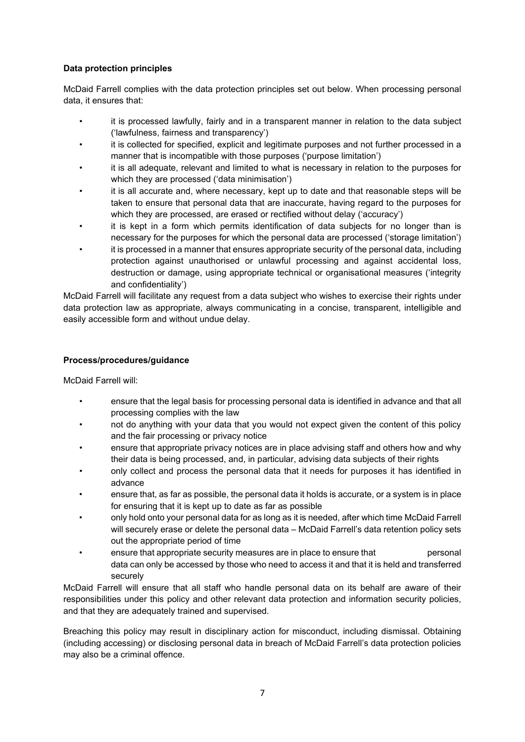### **Data protection principles**

McDaid Farrell complies with the data protection principles set out below. When processing personal data, it ensures that:

- it is processed lawfully, fairly and in a transparent manner in relation to the data subject ('lawfulness, fairness and transparency')
- it is collected for specified, explicit and legitimate purposes and not further processed in a manner that is incompatible with those purposes ('purpose limitation')
- it is all adequate, relevant and limited to what is necessary in relation to the purposes for which they are processed ('data minimisation')
- it is all accurate and, where necessary, kept up to date and that reasonable steps will be taken to ensure that personal data that are inaccurate, having regard to the purposes for which they are processed, are erased or rectified without delay ('accuracy')
- it is kept in a form which permits identification of data subjects for no longer than is necessary for the purposes for which the personal data are processed ('storage limitation')
- it is processed in a manner that ensures appropriate security of the personal data, including protection against unauthorised or unlawful processing and against accidental loss, destruction or damage, using appropriate technical or organisational measures ('integrity and confidentiality')

McDaid Farrell will facilitate any request from a data subject who wishes to exercise their rights under data protection law as appropriate, always communicating in a concise, transparent, intelligible and easily accessible form and without undue delay.

#### **Process/procedures/guidance**

McDaid Farrell will:

- ensure that the legal basis for processing personal data is identified in advance and that all processing complies with the law
- not do anything with your data that you would not expect given the content of this policy and the fair processing or privacy notice
- ensure that appropriate privacy notices are in place advising staff and others how and why their data is being processed, and, in particular, advising data subjects of their rights
- only collect and process the personal data that it needs for purposes it has identified in advance
- ensure that, as far as possible, the personal data it holds is accurate, or a system is in place for ensuring that it is kept up to date as far as possible
- only hold onto your personal data for as long as it is needed, after which time McDaid Farrell will securely erase or delete the personal data – McDaid Farrell's data retention policy sets out the appropriate period of time
- ensure that appropriate security measures are in place to ensure that personal data can only be accessed by those who need to access it and that it is held and transferred securely

McDaid Farrell will ensure that all staff who handle personal data on its behalf are aware of their responsibilities under this policy and other relevant data protection and information security policies, and that they are adequately trained and supervised.

Breaching this policy may result in disciplinary action for misconduct, including dismissal. Obtaining (including accessing) or disclosing personal data in breach of McDaid Farrell's data protection policies may also be a criminal offence.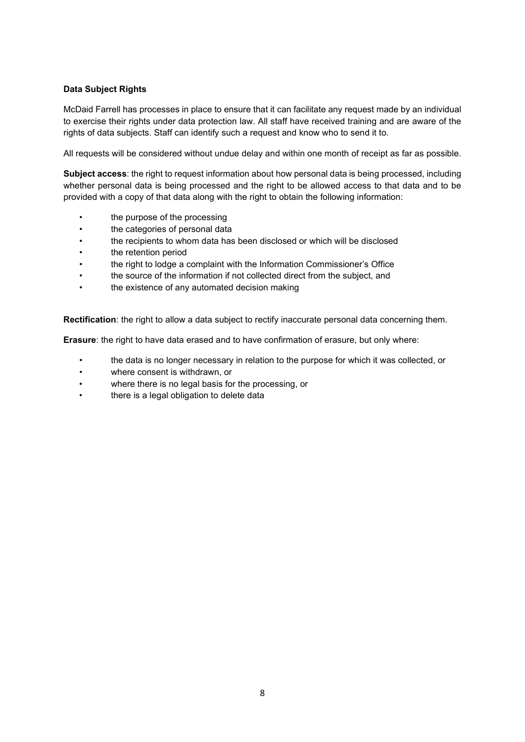### **Data Subject Rights**

McDaid Farrell has processes in place to ensure that it can facilitate any request made by an individual to exercise their rights under data protection law. All staff have received training and are aware of the rights of data subjects. Staff can identify such a request and know who to send it to.

All requests will be considered without undue delay and within one month of receipt as far as possible.

**Subject access**: the right to request information about how personal data is being processed, including whether personal data is being processed and the right to be allowed access to that data and to be provided with a copy of that data along with the right to obtain the following information:

- the purpose of the processing
- the categories of personal data
- the recipients to whom data has been disclosed or which will be disclosed
- the retention period
- the right to lodge a complaint with the Information Commissioner's Office
- the source of the information if not collected direct from the subject, and
- the existence of any automated decision making

**Rectification**: the right to allow a data subject to rectify inaccurate personal data concerning them.

**Erasure**: the right to have data erased and to have confirmation of erasure, but only where:

- the data is no longer necessary in relation to the purpose for which it was collected, or
- where consent is withdrawn, or
- where there is no legal basis for the processing, or
- there is a legal obligation to delete data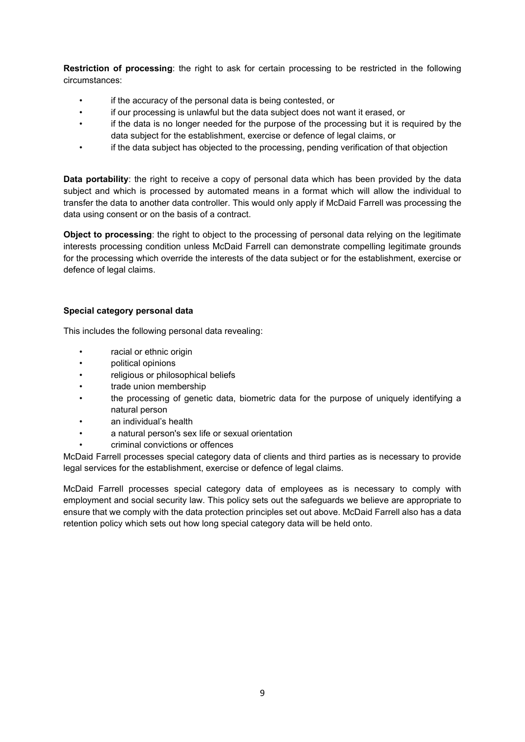**Restriction of processing**: the right to ask for certain processing to be restricted in the following circumstances:

- if the accuracy of the personal data is being contested, or
- if our processing is unlawful but the data subject does not want it erased, or
- if the data is no longer needed for the purpose of the processing but it is required by the data subject for the establishment, exercise or defence of legal claims, or
- if the data subject has objected to the processing, pending verification of that objection

**Data portability**: the right to receive a copy of personal data which has been provided by the data subject and which is processed by automated means in a format which will allow the individual to transfer the data to another data controller. This would only apply if McDaid Farrell was processing the data using consent or on the basis of a contract.

**Object to processing**: the right to object to the processing of personal data relying on the legitimate interests processing condition unless McDaid Farrell can demonstrate compelling legitimate grounds for the processing which override the interests of the data subject or for the establishment, exercise or defence of legal claims.

### **Special category personal data**

This includes the following personal data revealing:

- racial or ethnic origin
- political opinions
- religious or philosophical beliefs
- trade union membership
- the processing of genetic data, biometric data for the purpose of uniquely identifying a natural person
- an individual's health
- a natural person's sex life or sexual orientation
- criminal convictions or offences

McDaid Farrell processes special category data of clients and third parties as is necessary to provide legal services for the establishment, exercise or defence of legal claims.

McDaid Farrell processes special category data of employees as is necessary to comply with employment and social security law. This policy sets out the safeguards we believe are appropriate to ensure that we comply with the data protection principles set out above. McDaid Farrell also has a data retention policy which sets out how long special category data will be held onto.